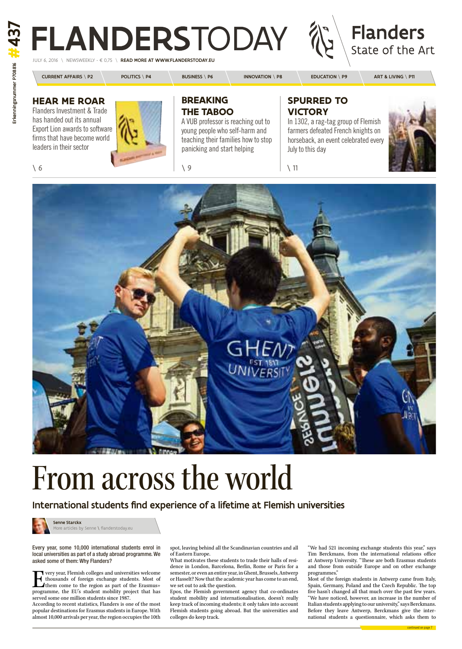### **Hear me roar** Flanders Investment & Trade

has handed out its annual Export Lion awards to software firms that have become world leaders in their sector



# FLANDERSTODAY



READ MORE AT WWW.FLANDERSTODAY.EU

| <b>CURRENT AFFAIRS \ P2</b> | <b>POLITICS \ P4</b> | <b>BUSINESS \ P6</b> | <b>INNOVATION \ P8</b> | <b>EDUCATION</b> \ $P9$ | ART & LIVING \ P11 |
|-----------------------------|----------------------|----------------------|------------------------|-------------------------|--------------------|

T very year, Flemish colleges and universities welcome<br>thousands of foreign exchange students. Most of<br>them come to the region as part of the Erasmus+<br>programme, the EU's student mobility project that has thousands of foreign exchange students. Most of them come to the region as part of the Erasmus+ programme, the EU's student mobility project that has served some one million students since 1987.

Every year, some 10,000 international students enrol in local universities as part of a study abroad programme. We asked some of them: Why Flanders?

According to recent statistics, Flanders is one of the most popular destinations for Erasmus students in Europe. With almost 10,000 arrivals per year, the region occupies the 10th

spot, leaving behind all the Scandinavian countries and all of Eastern Europe.

What motivates these students to trade their halls of residence in London, Barcelona, Berlin, Rome or Paris for a semester, or even an entire year, in Ghent, Brussels, Antwerp or Hasselt? Now that the academic year has come to an end, we set out to ask the question.

Epos, the Flemish government agency that co-ordinates student mobility and internationalisation, doesn't really keep track of incoming students; it only takes into account Flemish students going abroad. But the universities and colleges do keep track.

"We had 521 incoming exchange students this year," says Tim Berckmans, from the international relations office at Antwerp University. "These are both Erasmus students and those from outside Europe and on other exchange programmes."

Most of the foreign students in Antwerp came from Italy, Spain, Germany, Poland and the Czech Republic. The top five hasn't changed all that much over the past few years. "We have noticed, however, an increase in the number of Italian students applying to our university," says Berckmans. Before they leave Antwerp, Berckmans give the international students a questionnaire, which asks them to

### **Breaking the taboo**

A VUB professor is reaching out to young people who self-harm and teaching their families how to stop panicking and start helping

 $\sqrt{6}$  11

### **Spurred to victory**

In 1302, a rag-tag group of Flemish farmers defeated French knights on horseback, an event celebrated every July to this day





## From across the world

International students find experience of a lifetime at Flemish universities